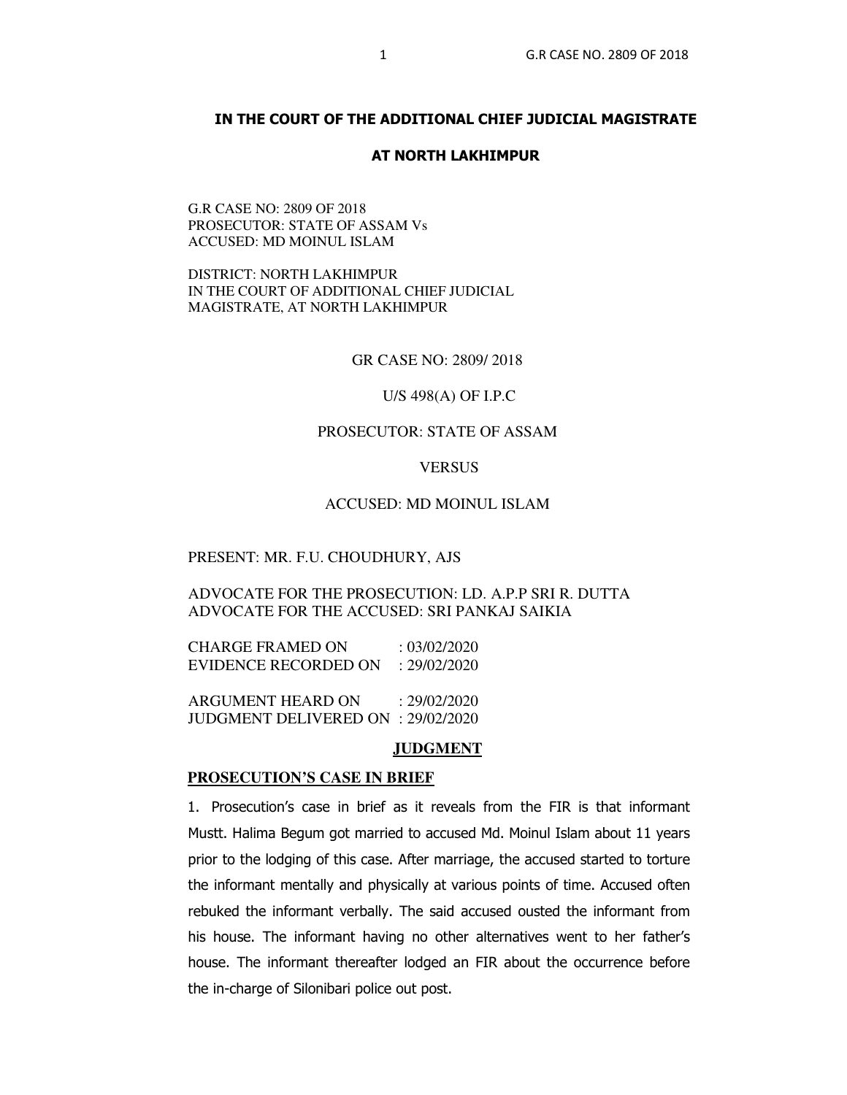# **IN THE COURT OF THE ADDITIONAL CHIEF JUDICIAL MAGISTRATE**

# **AT NORTH LAKHIMPUR**

G.R CASE NO: 2809 OF 2018 PROSECUTOR: STATE OF ASSAM Vs ACCUSED: MD MOINUL ISLAM

DISTRICT: NORTH LAKHIMPUR IN THE COURT OF ADDITIONAL CHIEF JUDICIAL MAGISTRATE, AT NORTH LAKHIMPUR

GR CASE NO: 2809/ 2018

U/S 498(A) OF I.P.C

# PROSECUTOR: STATE OF ASSAM

## VERSUS

## ACCUSED: MD MOINUL ISLAM

## PRESENT: MR. F.U. CHOUDHURY, AJS

ADVOCATE FOR THE PROSECUTION: LD. A.P.P SRI R. DUTTA ADVOCATE FOR THE ACCUSED: SRI PANKAJ SAIKIA

CHARGE FRAMED ON : 03/02/2020 EVIDENCE RECORDED ON : 29/02/2020

ARGUMENT HEARD ON : 29/02/2020 JUDGMENT DELIVERED ON : 29/02/2020

#### **JUDGMENT**

#### **PROSECUTION'S CASE IN BRIEF**

1. Prosecution's case in brief as it reveals from the FIR is that informant Mustt. Halima Begum got married to accused Md. Moinul Islam about 11 years prior to the lodging of this case. After marriage, the accused started to torture the informant mentally and physically at various points of time. Accused often rebuked the informant verbally. The said accused ousted the informant from his house. The informant having no other alternatives went to her father's house. The informant thereafter lodged an FIR about the occurrence before the in-charge of Silonibari police out post.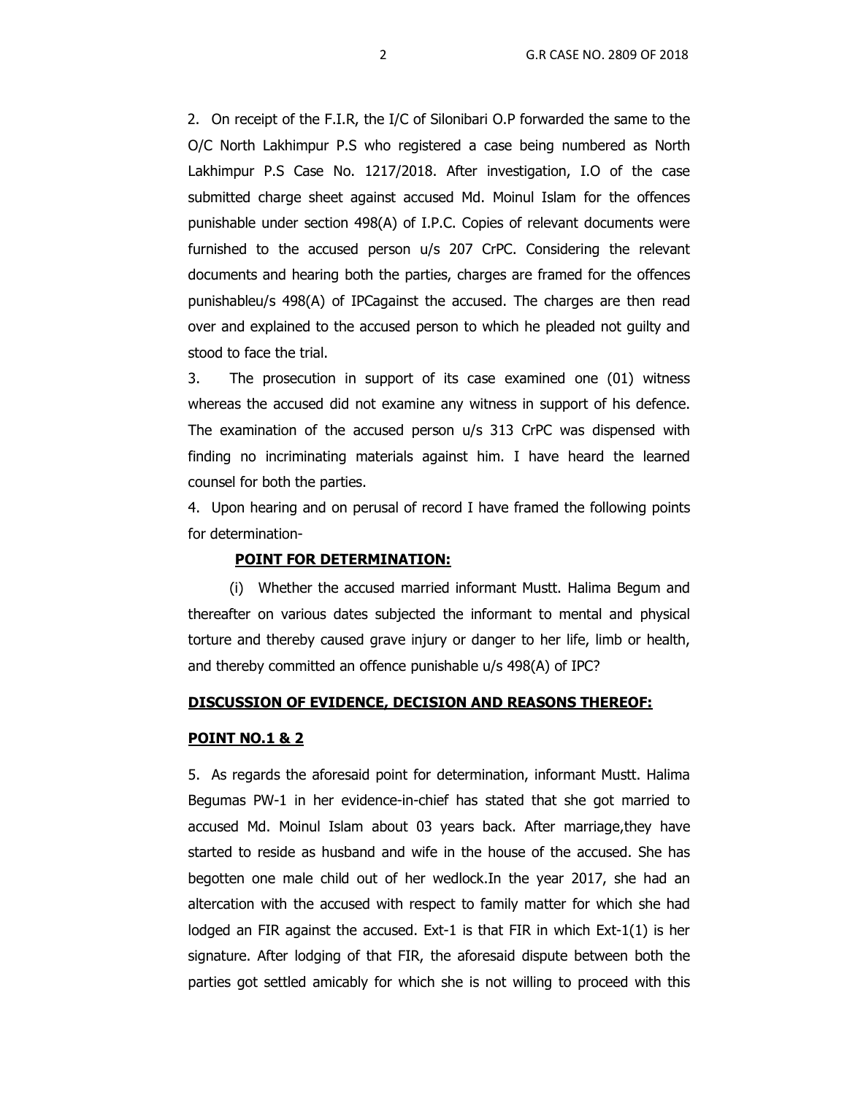2. On receipt of the F.I.R, the I/C of Silonibari O.P forwarded the same to the O/C North Lakhimpur P.S who registered a case being numbered as North Lakhimpur P.S Case No. 1217/2018. After investigation, I.O of the case submitted charge sheet against accused Md. Moinul Islam for the offences punishable under section 498(A) of I.P.C. Copies of relevant documents were furnished to the accused person u/s 207 CrPC. Considering the relevant documents and hearing both the parties, charges are framed for the offences punishableu/s 498(A) of IPCagainst the accused. The charges are then read over and explained to the accused person to which he pleaded not guilty and stood to face the trial.

3. The prosecution in support of its case examined one (01) witness whereas the accused did not examine any witness in support of his defence. The examination of the accused person u/s 313 CrPC was dispensed with finding no incriminating materials against him. I have heard the learned counsel for both the parties.

4. Upon hearing and on perusal of record I have framed the following points for determination-

## **POINT FOR DETERMINATION:**

(i) Whether the accused married informant Mustt. Halima Begum and thereafter on various dates subjected the informant to mental and physical torture and thereby caused grave injury or danger to her life, limb or health, and thereby committed an offence punishable u/s 498(A) of IPC?

## **DISCUSSION OF EVIDENCE, DECISION AND REASONS THEREOF:**

## **POINT NO.1 & 2**

5. As regards the aforesaid point for determination, informant Mustt. Halima Begumas PW-1 in her evidence-in-chief has stated that she got married to accused Md. Moinul Islam about 03 years back. After marriage,they have started to reside as husband and wife in the house of the accused. She has begotten one male child out of her wedlock.In the year 2017, she had an altercation with the accused with respect to family matter for which she had lodged an FIR against the accused. Ext-1 is that FIR in which Ext-1(1) is her signature. After lodging of that FIR, the aforesaid dispute between both the parties got settled amicably for which she is not willing to proceed with this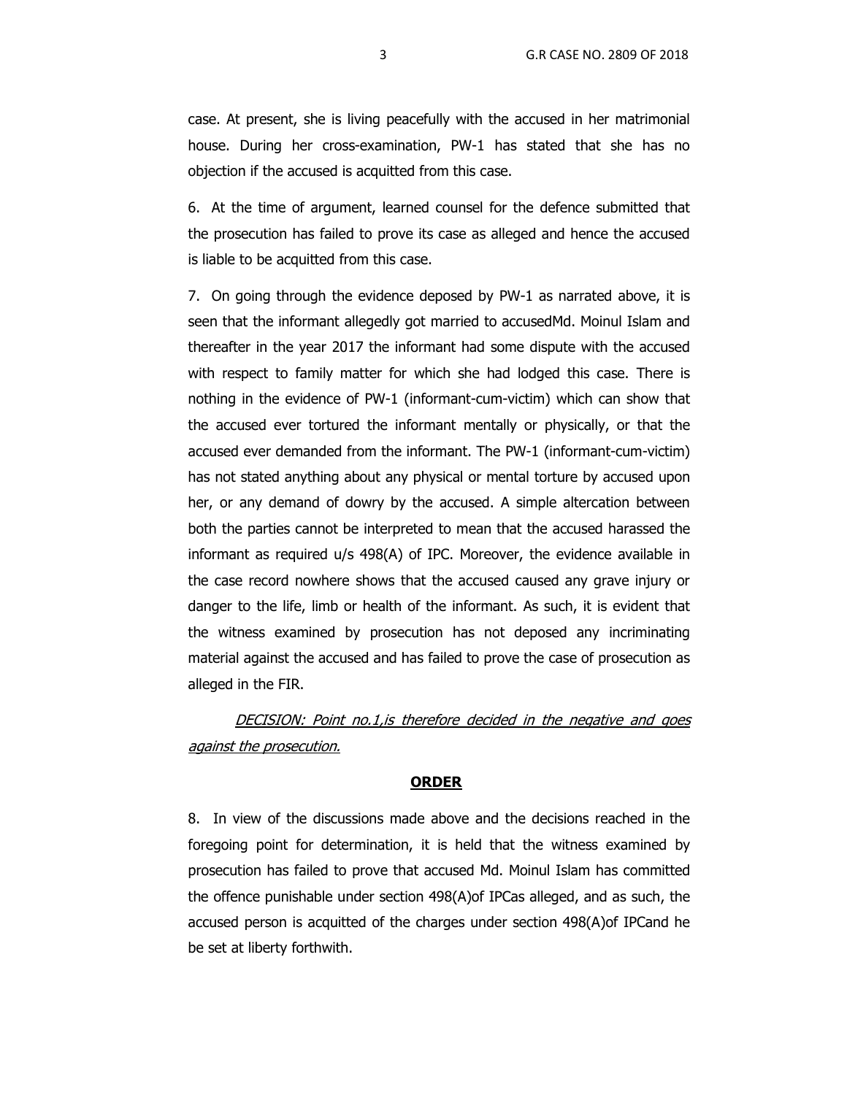case. At present, she is living peacefully with the accused in her matrimonial house. During her cross-examination, PW-1 has stated that she has no objection if the accused is acquitted from this case.

6. At the time of argument, learned counsel for the defence submitted that the prosecution has failed to prove its case as alleged and hence the accused is liable to be acquitted from this case.

7. On going through the evidence deposed by PW-1 as narrated above, it is seen that the informant allegedly got married to accusedMd. Moinul Islam and thereafter in the year 2017 the informant had some dispute with the accused with respect to family matter for which she had lodged this case. There is nothing in the evidence of PW-1 (informant-cum-victim) which can show that the accused ever tortured the informant mentally or physically, or that the accused ever demanded from the informant. The PW-1 (informant-cum-victim) has not stated anything about any physical or mental torture by accused upon her, or any demand of dowry by the accused. A simple altercation between both the parties cannot be interpreted to mean that the accused harassed the informant as required u/s 498(A) of IPC. Moreover, the evidence available in the case record nowhere shows that the accused caused any grave injury or danger to the life, limb or health of the informant. As such, it is evident that the witness examined by prosecution has not deposed any incriminating material against the accused and has failed to prove the case of prosecution as alleged in the FIR.

DECISION: Point no.1, is therefore decided in the negative and goes against the prosecution.

# **ORDER**

8. In view of the discussions made above and the decisions reached in the foregoing point for determination, it is held that the witness examined by prosecution has failed to prove that accused Md. Moinul Islam has committed the offence punishable under section 498(A)of IPCas alleged, and as such, the accused person is acquitted of the charges under section 498(A)of IPCand he be set at liberty forthwith.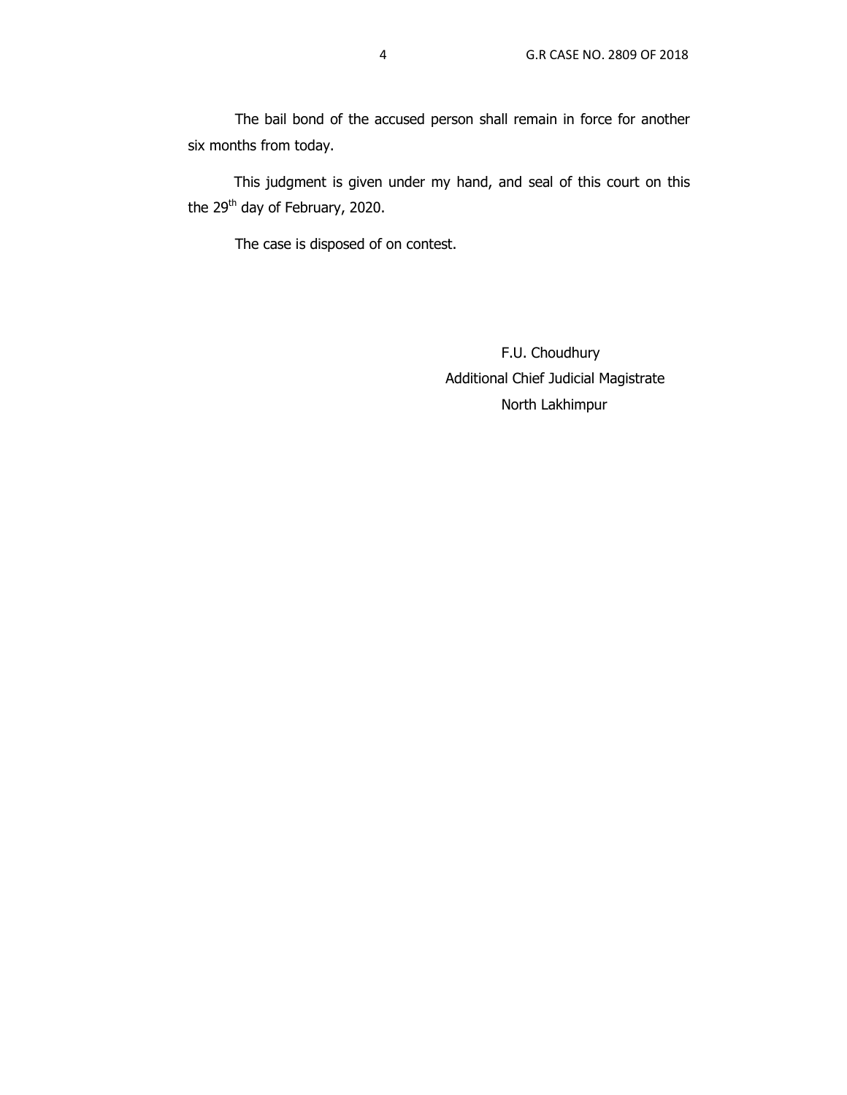The bail bond of the accused person shall remain in force for another six months from today.

 This judgment is given under my hand, and seal of this court on this the 29<sup>th</sup> day of February, 2020.

The case is disposed of on contest.

 F.U. Choudhury Additional Chief Judicial Magistrate North Lakhimpur